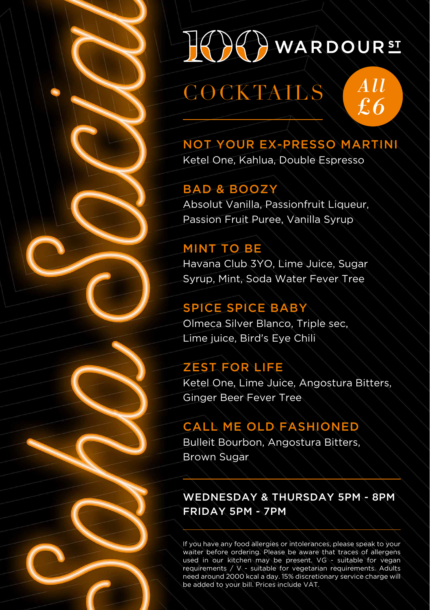

COCKTAILS

*All £ 6*

### NOT YOUR EX-PRESSO MARTINI

Ketel One, Kahlua, Double Espresso

### BAD & BOOZY

Absolut Vanilla, Passionfruit Liqueur, Passion Fruit Puree, Vanilla Syrup

#### **MINT TO BE**

Havana Club 3YO, Lime Juice, Sugar Syrup, Mint, Soda Water Fever Tree

### SPICE SPICE BABY

Olmeca Silver Blanco, Triple sec, Lime juice, Bird's Eye Chili

### ZEST FOR LIFE

Ketel One, Lime Juice, Angostura Bitters, Ginger Beer Fever Tree

### CALL ME OLD FASHIONED

Bulleit Bourbon, Angostura Bitters, Brown Sugar

WEDNESDAY & THURSDAY 5PM - 8PM FRIDAY 5PM - 7PM

If you have any food allergies or intolerances, please speak to your waiter before ordering. Please be aware that traces of allergens used in our kitchen may be present. VG - suitable for vegan requirements / V - suitable for vegetarian requirements. Adults need around 2000 kcal a day. 15% discretionary service charge will be added to your bill. Prices include VAT.